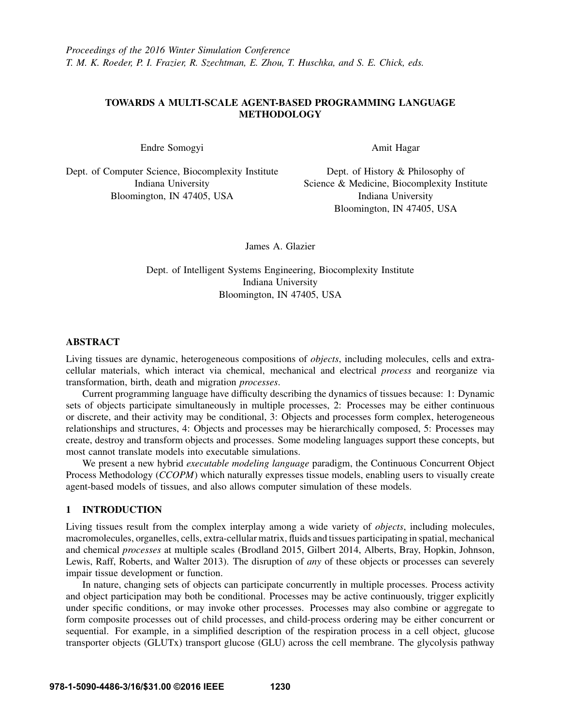# TOWARDS A MULTI-SCALE AGENT-BASED PROGRAMMING LANGUAGE **METHODOLOGY**

Endre Somogyi

Amit Hagar

Dept. of Computer Science, Biocomplexity Institute Indiana University Bloomington, IN 47405, USA

Dept. of History & Philosophy of Science & Medicine, Biocomplexity Institute Indiana University Bloomington, IN 47405, USA

James A. Glazier

Dept. of Intelligent Systems Engineering, Biocomplexity Institute Indiana University Bloomington, IN 47405, USA

# ABSTRACT

Living tissues are dynamic, heterogeneous compositions of *objects*, including molecules, cells and extracellular materials, which interact via chemical, mechanical and electrical *process* and reorganize via transformation, birth, death and migration *processes*.

Current programming language have difficulty describing the dynamics of tissues because: 1: Dynamic sets of objects participate simultaneously in multiple processes, 2: Processes may be either continuous or discrete, and their activity may be conditional, 3: Objects and processes form complex, heterogeneous relationships and structures, 4: Objects and processes may be hierarchically composed, 5: Processes may create, destroy and transform objects and processes. Some modeling languages support these concepts, but most cannot translate models into executable simulations.

We present a new hybrid *executable modeling language* paradigm, the Continuous Concurrent Object Process Methodology (*CCOPM*) which naturally expresses tissue models, enabling users to visually create agent-based models of tissues, and also allows computer simulation of these models.

# 1 INTRODUCTION

Living tissues result from the complex interplay among a wide variety of *objects*, including molecules, macromolecules, organelles, cells, extra-cellular matrix, fluids and tissues participating in spatial, mechanical and chemical *processes* at multiple scales (Brodland 2015, Gilbert 2014, Alberts, Bray, Hopkin, Johnson, Lewis, Raff, Roberts, and Walter 2013). The disruption of *any* of these objects or processes can severely impair tissue development or function.

In nature, changing sets of objects can participate concurrently in multiple processes. Process activity and object participation may both be conditional. Processes may be active continuously, trigger explicitly under specific conditions, or may invoke other processes. Processes may also combine or aggregate to form composite processes out of child processes, and child-process ordering may be either concurrent or sequential. For example, in a simplified description of the respiration process in a cell object, glucose transporter objects (GLUTx) transport glucose (GLU) across the cell membrane. The glycolysis pathway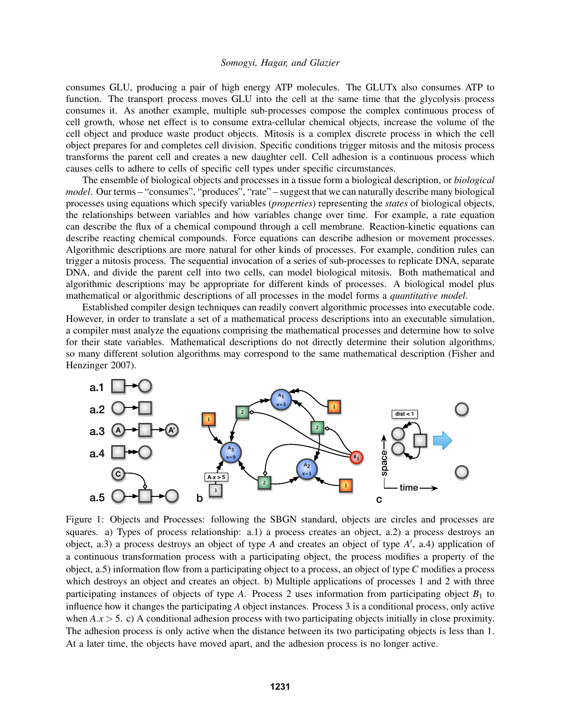consumes GLU, producing a pair of high energy ATP molecules. The GLUTx also consumes ATP to function. The transport process moves GLU into the cell at the same time that the glycolysis process consumes it. As another example, multiple sub-processes compose the complex continuous process of cell growth, whose net effect is to consume extra-cellular chemical objects, increase the volume of the cell object and produce waste product objects. Mitosis is a complex discrete process in which the cell object prepares for and completes cell division. Specific conditions trigger mitosis and the mitosis process transforms the parent cell and creates a new daughter cell. Cell adhesion is a continuous process which causes cells to adhere to cells of specific cell types under specific circumstances.

The ensemble of biological objects and processes in a tissue form a biological description, or *biological model*. Our terms – "consumes", "produces", "rate" – suggest that we can naturally describe many biological processes using equations which specify variables (*properties*) representing the *states* of biological objects, the relationships between variables and how variables change over time. For example, a rate equation can describe the flux of a chemical compound through a cell membrane. Reaction-kinetic equations can describe reacting chemical compounds. Force equations can describe adhesion or movement processes. Algorithmic descriptions are more natural for other kinds of processes. For example, condition rules can trigger a mitosis process. The sequential invocation of a series of sub-processes to replicate DNA, separate DNA, and divide the parent cell into two cells, can model biological mitosis. Both mathematical and algorithmic descriptions may be appropriate for different kinds of processes. A biological model plus mathematical or algorithmic descriptions of all processes in the model forms a *quantitative model*.

Established compiler design techniques can readily convert algorithmic processes into executable code. However, in order to translate a set of a mathematical process descriptions into an executable simulation, a compiler must analyze the equations comprising the mathematical processes and determine how to solve for their state variables. Mathematical descriptions do not directly determine their solution algorithms, so many different solution algorithms may correspond to the same mathematical description (Fisher and Henzinger 2007).



Figure 1: Objects and Processes: following the SBGN standard, objects are circles and processes are squares. a) Types of process relationship: a.1) a process creates an object, a.2) a process destroys an object, a.3) a process destroys an object of type *A* and creates an object of type *A'*, a.4) application of a continuous transformation process with a participating object, the process modifies a property of the object, a.5) information flow from a participating object to a process, an object of type *C* modifies a process which destroys an object and creates an object. b) Multiple applications of processes 1 and 2 with three participating instances of objects of type *A*. Process 2 uses information from participating object  $B_1$  to influence how it changes the participating *A* object instances. Process 3 is a conditional process, only active when  $A.x > 5$ . c) A conditional adhesion process with two participating objects initially in close proximity. The adhesion process is only active when the distance between its two participating objects is less than 1. At a later time, the objects have moved apart, and the adhesion process is no longer active.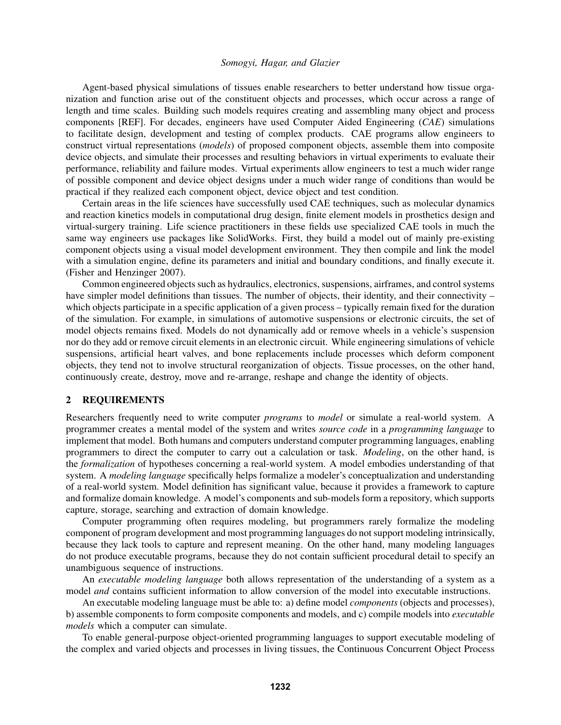Agent-based physical simulations of tissues enable researchers to better understand how tissue organization and function arise out of the constituent objects and processes, which occur across a range of length and time scales. Building such models requires creating and assembling many object and process components [REF]. For decades, engineers have used Computer Aided Engineering (*CAE*) simulations to facilitate design, development and testing of complex products. CAE programs allow engineers to construct virtual representations (*models*) of proposed component objects, assemble them into composite device objects, and simulate their processes and resulting behaviors in virtual experiments to evaluate their performance, reliability and failure modes. Virtual experiments allow engineers to test a much wider range of possible component and device object designs under a much wider range of conditions than would be practical if they realized each component object, device object and test condition.

Certain areas in the life sciences have successfully used CAE techniques, such as molecular dynamics and reaction kinetics models in computational drug design, finite element models in prosthetics design and virtual-surgery training. Life science practitioners in these fields use specialized CAE tools in much the same way engineers use packages like SolidWorks. First, they build a model out of mainly pre-existing component objects using a visual model development environment. They then compile and link the model with a simulation engine, define its parameters and initial and boundary conditions, and finally execute it. (Fisher and Henzinger 2007).

Common engineered objects such as hydraulics, electronics, suspensions, airframes, and control systems have simpler model definitions than tissues. The number of objects, their identity, and their connectivity – which objects participate in a specific application of a given process – typically remain fixed for the duration of the simulation. For example, in simulations of automotive suspensions or electronic circuits, the set of model objects remains fixed. Models do not dynamically add or remove wheels in a vehicle's suspension nor do they add or remove circuit elements in an electronic circuit. While engineering simulations of vehicle suspensions, artificial heart valves, and bone replacements include processes which deform component objects, they tend not to involve structural reorganization of objects. Tissue processes, on the other hand, continuously create, destroy, move and re-arrange, reshape and change the identity of objects.

## 2 REQUIREMENTS

Researchers frequently need to write computer *programs* to *model* or simulate a real-world system. A programmer creates a mental model of the system and writes *source code* in a *programming language* to implement that model. Both humans and computers understand computer programming languages, enabling programmers to direct the computer to carry out a calculation or task. *Modeling*, on the other hand, is the *formalization* of hypotheses concerning a real-world system. A model embodies understanding of that system. A *modeling language* specifically helps formalize a modeler's conceptualization and understanding of a real-world system. Model definition has significant value, because it provides a framework to capture and formalize domain knowledge. A model's components and sub-models form a repository, which supports capture, storage, searching and extraction of domain knowledge.

Computer programming often requires modeling, but programmers rarely formalize the modeling component of program development and most programming languages do not support modeling intrinsically, because they lack tools to capture and represent meaning. On the other hand, many modeling languages do not produce executable programs, because they do not contain sufficient procedural detail to specify an unambiguous sequence of instructions.

An *executable modeling language* both allows representation of the understanding of a system as a model *and* contains sufficient information to allow conversion of the model into executable instructions.

An executable modeling language must be able to: a) define model *components* (objects and processes), b) assemble components to form composite components and models, and c) compile models into *executable models* which a computer can simulate.

To enable general-purpose object-oriented programming languages to support executable modeling of the complex and varied objects and processes in living tissues, the Continuous Concurrent Object Process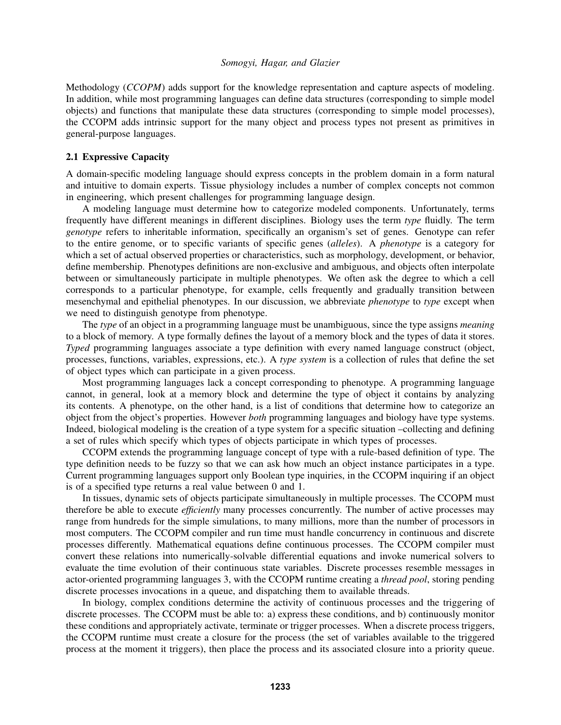Methodology (*CCOPM*) adds support for the knowledge representation and capture aspects of modeling. In addition, while most programming languages can define data structures (corresponding to simple model objects) and functions that manipulate these data structures (corresponding to simple model processes), the CCOPM adds intrinsic support for the many object and process types not present as primitives in general-purpose languages.

### 2.1 Expressive Capacity

A domain-specific modeling language should express concepts in the problem domain in a form natural and intuitive to domain experts. Tissue physiology includes a number of complex concepts not common in engineering, which present challenges for programming language design.

A modeling language must determine how to categorize modeled components. Unfortunately, terms frequently have different meanings in different disciplines. Biology uses the term *type* fluidly. The term *genotype* refers to inheritable information, specifically an organism's set of genes. Genotype can refer to the entire genome, or to specific variants of specific genes (*alleles*). A *phenotype* is a category for which a set of actual observed properties or characteristics, such as morphology, development, or behavior, define membership. Phenotypes definitions are non-exclusive and ambiguous, and objects often interpolate between or simultaneously participate in multiple phenotypes. We often ask the degree to which a cell corresponds to a particular phenotype, for example, cells frequently and gradually transition between mesenchymal and epithelial phenotypes. In our discussion, we abbreviate *phenotype* to *type* except when we need to distinguish genotype from phenotype.

The *type* of an object in a programming language must be unambiguous, since the type assigns *meaning* to a block of memory. A type formally defines the layout of a memory block and the types of data it stores. *Typed* programming languages associate a type definition with every named language construct (object, processes, functions, variables, expressions, etc.). A *type system* is a collection of rules that define the set of object types which can participate in a given process.

Most programming languages lack a concept corresponding to phenotype. A programming language cannot, in general, look at a memory block and determine the type of object it contains by analyzing its contents. A phenotype, on the other hand, is a list of conditions that determine how to categorize an object from the object's properties. However *both* programming languages and biology have type systems. Indeed, biological modeling is the creation of a type system for a specific situation –collecting and defining a set of rules which specify which types of objects participate in which types of processes.

CCOPM extends the programming language concept of type with a rule-based definition of type. The type definition needs to be fuzzy so that we can ask how much an object instance participates in a type. Current programming languages support only Boolean type inquiries, in the CCOPM inquiring if an object is of a specified type returns a real value between 0 and 1.

In tissues, dynamic sets of objects participate simultaneously in multiple processes. The CCOPM must therefore be able to execute *efficiently* many processes concurrently. The number of active processes may range from hundreds for the simple simulations, to many millions, more than the number of processors in most computers. The CCOPM compiler and run time must handle concurrency in continuous and discrete processes differently. Mathematical equations define continuous processes. The CCOPM compiler must convert these relations into numerically-solvable differential equations and invoke numerical solvers to evaluate the time evolution of their continuous state variables. Discrete processes resemble messages in actor-oriented programming languages 3, with the CCOPM runtime creating a *thread pool*, storing pending discrete processes invocations in a queue, and dispatching them to available threads.

In biology, complex conditions determine the activity of continuous processes and the triggering of discrete processes. The CCOPM must be able to: a) express these conditions, and b) continuously monitor these conditions and appropriately activate, terminate or trigger processes. When a discrete process triggers, the CCOPM runtime must create a closure for the process (the set of variables available to the triggered process at the moment it triggers), then place the process and its associated closure into a priority queue.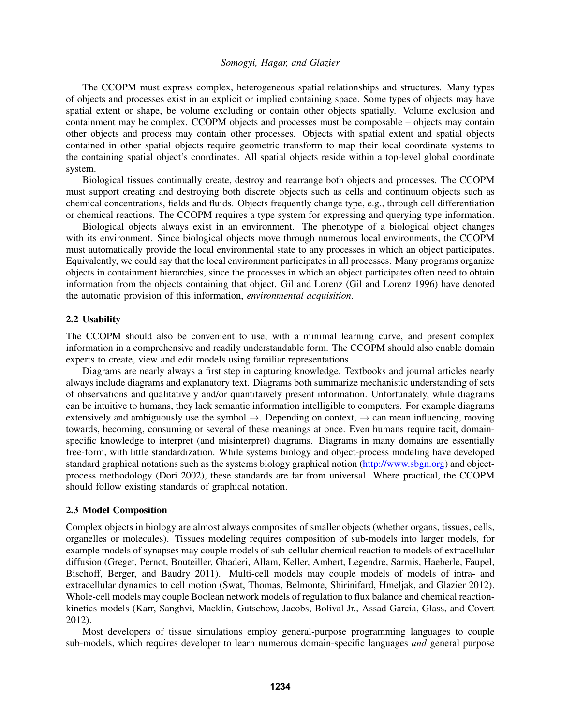The CCOPM must express complex, heterogeneous spatial relationships and structures. Many types of objects and processes exist in an explicit or implied containing space. Some types of objects may have spatial extent or shape, be volume excluding or contain other objects spatially. Volume exclusion and containment may be complex. CCOPM objects and processes must be composable – objects may contain other objects and process may contain other processes. Objects with spatial extent and spatial objects contained in other spatial objects require geometric transform to map their local coordinate systems to the containing spatial object's coordinates. All spatial objects reside within a top-level global coordinate system.

Biological tissues continually create, destroy and rearrange both objects and processes. The CCOPM must support creating and destroying both discrete objects such as cells and continuum objects such as chemical concentrations, fields and fluids. Objects frequently change type, e.g., through cell differentiation or chemical reactions. The CCOPM requires a type system for expressing and querying type information.

Biological objects always exist in an environment. The phenotype of a biological object changes with its environment. Since biological objects move through numerous local environments, the CCOPM must automatically provide the local environmental state to any processes in which an object participates. Equivalently, we could say that the local environment participates in all processes. Many programs organize objects in containment hierarchies, since the processes in which an object participates often need to obtain information from the objects containing that object. Gil and Lorenz (Gil and Lorenz 1996) have denoted the automatic provision of this information, *environmental acquisition*.

#### 2.2 Usability

The CCOPM should also be convenient to use, with a minimal learning curve, and present complex information in a comprehensive and readily understandable form. The CCOPM should also enable domain experts to create, view and edit models using familiar representations.

Diagrams are nearly always a first step in capturing knowledge. Textbooks and journal articles nearly always include diagrams and explanatory text. Diagrams both summarize mechanistic understanding of sets of observations and qualitatively and/or quantitaively present information. Unfortunately, while diagrams can be intuitive to humans, they lack semantic information intelligible to computers. For example diagrams extensively and ambiguously use the symbol  $\rightarrow$ . Depending on context,  $\rightarrow$  can mean influencing, moving towards, becoming, consuming or several of these meanings at once. Even humans require tacit, domainspecific knowledge to interpret (and misinterpret) diagrams. Diagrams in many domains are essentially free-form, with little standardization. While systems biology and object-process modeling have developed standard graphical notations such as the systems biology graphical notion (http://www.sbgn.org) and objectprocess methodology (Dori 2002), these standards are far from universal. Where practical, the CCOPM should follow existing standards of graphical notation.

#### 2.3 Model Composition

Complex objects in biology are almost always composites of smaller objects (whether organs, tissues, cells, organelles or molecules). Tissues modeling requires composition of sub-models into larger models, for example models of synapses may couple models of sub-cellular chemical reaction to models of extracellular diffusion (Greget, Pernot, Bouteiller, Ghaderi, Allam, Keller, Ambert, Legendre, Sarmis, Haeberle, Faupel, Bischoff, Berger, and Baudry 2011). Multi-cell models may couple models of models of intra- and extracellular dynamics to cell motion (Swat, Thomas, Belmonte, Shirinifard, Hmeljak, and Glazier 2012). Whole-cell models may couple Boolean network models of regulation to flux balance and chemical reactionkinetics models (Karr, Sanghvi, Macklin, Gutschow, Jacobs, Bolival Jr., Assad-Garcia, Glass, and Covert 2012).

Most developers of tissue simulations employ general-purpose programming languages to couple sub-models, which requires developer to learn numerous domain-specific languages *and* general purpose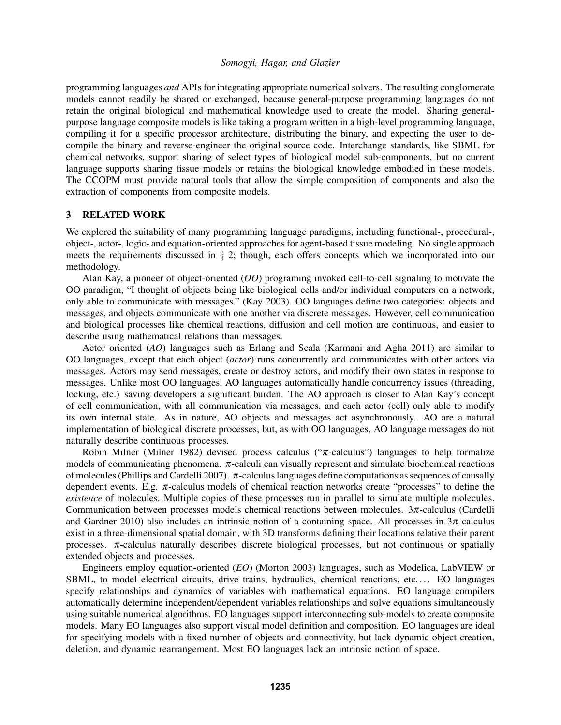programming languages *and* APIs for integrating appropriate numerical solvers. The resulting conglomerate models cannot readily be shared or exchanged, because general-purpose programming languages do not retain the original biological and mathematical knowledge used to create the model. Sharing generalpurpose language composite models is like taking a program written in a high-level programming language, compiling it for a specific processor architecture, distributing the binary, and expecting the user to decompile the binary and reverse-engineer the original source code. Interchange standards, like SBML for chemical networks, support sharing of select types of biological model sub-components, but no current language supports sharing tissue models or retains the biological knowledge embodied in these models. The CCOPM must provide natural tools that allow the simple composition of components and also the extraction of components from composite models.

#### 3 RELATED WORK

We explored the suitability of many programming language paradigms, including functional-, procedural-, object-, actor-, logic- and equation-oriented approaches for agent-based tissue modeling. No single approach meets the requirements discussed in § 2; though, each offers concepts which we incorporated into our methodology.

Alan Kay, a pioneer of object-oriented (*OO*) programing invoked cell-to-cell signaling to motivate the OO paradigm, "I thought of objects being like biological cells and/or individual computers on a network, only able to communicate with messages." (Kay 2003). OO languages define two categories: objects and messages, and objects communicate with one another via discrete messages. However, cell communication and biological processes like chemical reactions, diffusion and cell motion are continuous, and easier to describe using mathematical relations than messages.

Actor oriented (*AO*) languages such as Erlang and Scala (Karmani and Agha 2011) are similar to OO languages, except that each object (*actor*) runs concurrently and communicates with other actors via messages. Actors may send messages, create or destroy actors, and modify their own states in response to messages. Unlike most OO languages, AO languages automatically handle concurrency issues (threading, locking, etc.) saving developers a significant burden. The AO approach is closer to Alan Kay's concept of cell communication, with all communication via messages, and each actor (cell) only able to modify its own internal state. As in nature, AO objects and messages act asynchronously. AO are a natural implementation of biological discrete processes, but, as with OO languages, AO language messages do not naturally describe continuous processes.

Robin Milner (Milner 1982) devised process calculus (" $\pi$ -calculus") languages to help formalize models of communicating phenomena.  $\pi$ -calculi can visually represent and simulate biochemical reactions of molecules (Phillips and Cardelli 2007). π-calculus languages define computations as sequences of causally dependent events. E.g.  $\pi$ -calculus models of chemical reaction networks create "processes" to define the *existence* of molecules. Multiple copies of these processes run in parallel to simulate multiple molecules. Communication between processes models chemical reactions between molecules.  $3\pi$ -calculus (Cardelli and Gardner 2010) also includes an intrinsic notion of a containing space. All processes in  $3\pi$ -calculus exist in a three-dimensional spatial domain, with 3D transforms defining their locations relative their parent processes.  $\pi$ -calculus naturally describes discrete biological processes, but not continuous or spatially extended objects and processes.

Engineers employ equation-oriented (*EO*) (Morton 2003) languages, such as Modelica, LabVIEW or SBML, to model electrical circuits, drive trains, hydraulics, chemical reactions, etc.... EO languages specify relationships and dynamics of variables with mathematical equations. EO language compilers automatically determine independent/dependent variables relationships and solve equations simultaneously using suitable numerical algorithms. EO languages support interconnecting sub-models to create composite models. Many EO languages also support visual model definition and composition. EO languages are ideal for specifying models with a fixed number of objects and connectivity, but lack dynamic object creation, deletion, and dynamic rearrangement. Most EO languages lack an intrinsic notion of space.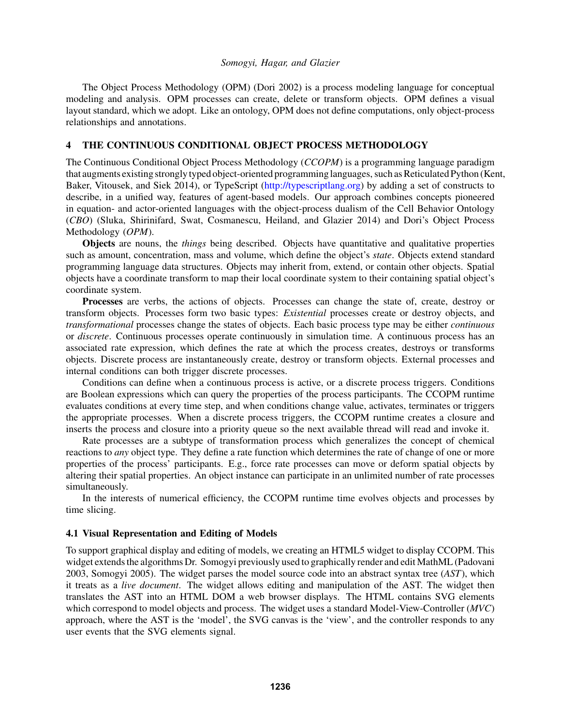The Object Process Methodology (OPM) (Dori 2002) is a process modeling language for conceptual modeling and analysis. OPM processes can create, delete or transform objects. OPM defines a visual layout standard, which we adopt. Like an ontology, OPM does not define computations, only object-process relationships and annotations.

## 4 THE CONTINUOUS CONDITIONAL OBJECT PROCESS METHODOLOGY

The Continuous Conditional Object Process Methodology (*CCOPM*) is a programming language paradigm that augments existing stronglytyped object-oriented programminglanguages, such as Reticulated Python (Kent, Baker, Vitousek, and Siek 2014), or TypeScript (http://typescriptlang.org) by adding a set of constructs to describe, in a unified way, features of agent-based models. Our approach combines concepts pioneered in equation- and actor-oriented languages with the object-process dualism of the Cell Behavior Ontology (*CBO*) (Sluka, Shirinifard, Swat, Cosmanescu, Heiland, and Glazier 2014) and Dori's Object Process Methodology (*OPM*).

Objects are nouns, the *things* being described. Objects have quantitative and qualitative properties such as amount, concentration, mass and volume, which define the object's *state*. Objects extend standard programming language data structures. Objects may inherit from, extend, or contain other objects. Spatial objects have a coordinate transform to map their local coordinate system to their containing spatial object's coordinate system.

Processes are verbs, the actions of objects. Processes can change the state of, create, destroy or transform objects. Processes form two basic types: *Existential* processes create or destroy objects, and *transformational* processes change the states of objects. Each basic process type may be either *continuous* or *discrete*. Continuous processes operate continuously in simulation time. A continuous process has an associated rate expression, which defines the rate at which the process creates, destroys or transforms objects. Discrete process are instantaneously create, destroy or transform objects. External processes and internal conditions can both trigger discrete processes.

Conditions can define when a continuous process is active, or a discrete process triggers. Conditions are Boolean expressions which can query the properties of the process participants. The CCOPM runtime evaluates conditions at every time step, and when conditions change value, activates, terminates or triggers the appropriate processes. When a discrete process triggers, the CCOPM runtime creates a closure and inserts the process and closure into a priority queue so the next available thread will read and invoke it.

Rate processes are a subtype of transformation process which generalizes the concept of chemical reactions to *any* object type. They define a rate function which determines the rate of change of one or more properties of the process' participants. E.g., force rate processes can move or deform spatial objects by altering their spatial properties. An object instance can participate in an unlimited number of rate processes simultaneously.

In the interests of numerical efficiency, the CCOPM runtime time evolves objects and processes by time slicing.

#### 4.1 Visual Representation and Editing of Models

To support graphical display and editing of models, we creating an HTML5 widget to display CCOPM. This widget extends the algorithms Dr. Somogyi previously used to graphically render and edit MathML (Padovani 2003, Somogyi 2005). The widget parses the model source code into an abstract syntax tree (*AST*), which it treats as a *live document*. The widget allows editing and manipulation of the AST. The widget then translates the AST into an HTML DOM a web browser displays. The HTML contains SVG elements which correspond to model objects and process. The widget uses a standard Model-View-Controller (*MVC*) approach, where the AST is the 'model', the SVG canvas is the 'view', and the controller responds to any user events that the SVG elements signal.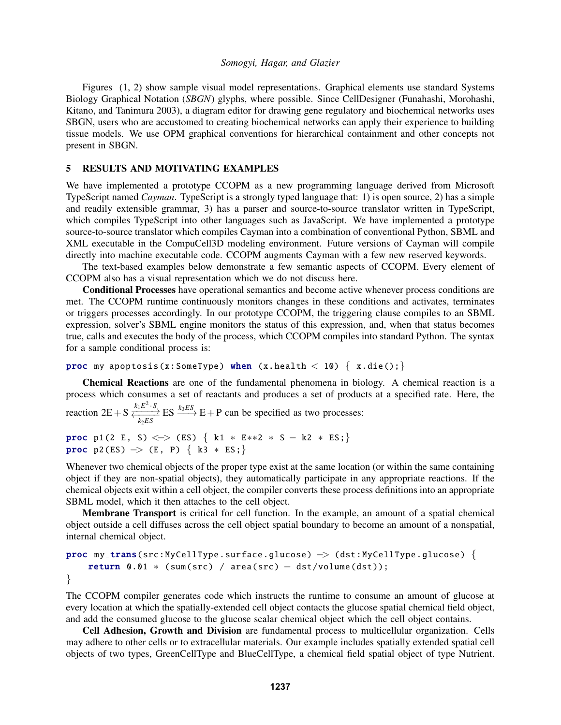Figures (1, 2) show sample visual model representations. Graphical elements use standard Systems Biology Graphical Notation (*SBGN*) glyphs, where possible. Since CellDesigner (Funahashi, Morohashi, Kitano, and Tanimura 2003), a diagram editor for drawing gene regulatory and biochemical networks uses SBGN, users who are accustomed to creating biochemical networks can apply their experience to building tissue models. We use OPM graphical conventions for hierarchical containment and other concepts not present in SBGN.

## 5 RESULTS AND MOTIVATING EXAMPLES

We have implemented a prototype CCOPM as a new programming language derived from Microsoft TypeScript named *Cayman*. TypeScript is a strongly typed language that: 1) is open source, 2) has a simple and readily extensible grammar, 3) has a parser and source-to-source translator written in TypeScript, which compiles TypeScript into other languages such as JavaScript. We have implemented a prototype source-to-source translator which compiles Cayman into a combination of conventional Python, SBML and XML executable in the CompuCell3D modeling environment. Future versions of Cayman will compile directly into machine executable code. CCOPM augments Cayman with a few new reserved keywords.

The text-based examples below demonstrate a few semantic aspects of CCOPM. Every element of CCOPM also has a visual representation which we do not discuss here.

Conditional Processes have operational semantics and become active whenever process conditions are met. The CCOPM runtime continuously monitors changes in these conditions and activates, terminates or triggers processes accordingly. In our prototype CCOPM, the triggering clause compiles to an SBML expression, solver's SBML engine monitors the status of this expression, and, when that status becomes true, calls and executes the body of the process, which CCOPM compiles into standard Python. The syntax for a sample conditional process is:

```
proc my_apoptosis(x:SomeType) when (x.health \langle 10 \rangle { x.die(); }
```
Chemical Reactions are one of the fundamental phenomena in biology. A chemical reaction is a process which consumes a set of reactants and produces a set of products at a specified rate. Here, the

```
reaction 2E + S \xleftrightarrow[k_1E^2 \cdot S]ES \xrightarrow{k_3ES} E + P can be specified as two processes:
```

```
proc p1(2 E, S) < > (ES) { k1 * E**2 * S - k2 * ES;}
proc p2(ES) \rightarrow (E, P) { k3 * ES;}
```
Whenever two chemical objects of the proper type exist at the same location (or within the same containing object if they are non-spatial objects), they automatically participate in any appropriate reactions. If the chemical objects exit within a cell object, the compiler converts these process definitions into an appropriate SBML model, which it then attaches to the cell object.

Membrane Transport is critical for cell function. In the example, an amount of a spatial chemical object outside a cell diffuses across the cell object spatial boundary to become an amount of a nonspatial, internal chemical object.

```
proc my_trans(src: MyCellType.surface.glucose) \rightarrow (dst: MyCellType.glucose) {
    return 0.01 * (sum(src) / area(src) - dist/volume(dst));}
```
The CCOPM compiler generates code which instructs the runtime to consume an amount of glucose at every location at which the spatially-extended cell object contacts the glucose spatial chemical field object, and add the consumed glucose to the glucose scalar chemical object which the cell object contains.

Cell Adhesion, Growth and Division are fundamental process to multicellular organization. Cells may adhere to other cells or to extracellular materials. Our example includes spatially extended spatial cell objects of two types, GreenCellType and BlueCellType, a chemical field spatial object of type Nutrient.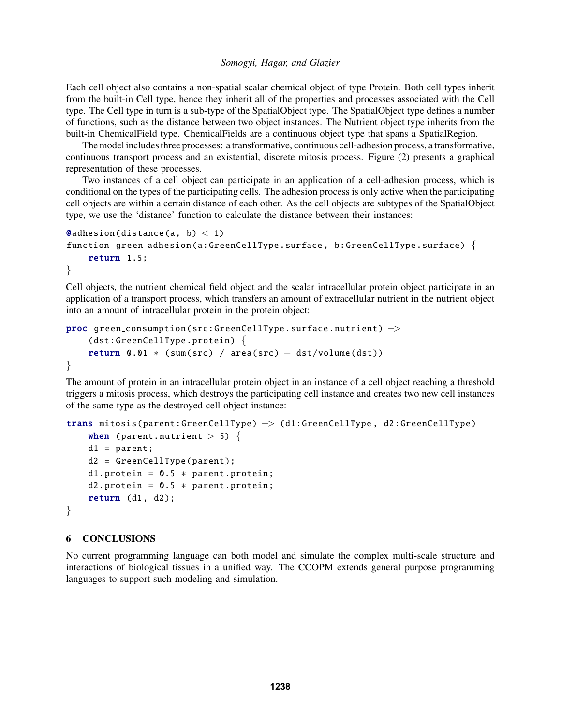Each cell object also contains a non-spatial scalar chemical object of type Protein. Both cell types inherit from the built-in Cell type, hence they inherit all of the properties and processes associated with the Cell type. The Cell type in turn is a sub-type of the SpatialObject type. The SpatialObject type defines a number of functions, such as the distance between two object instances. The Nutrient object type inherits from the built-in ChemicalField type. ChemicalFields are a continuous object type that spans a SpatialRegion.

The model includes three processes: a transformative, continuous cell-adhesion process, a transformative, continuous transport process and an existential, discrete mitosis process. Figure (2) presents a graphical representation of these processes.

Two instances of a cell object can participate in an application of a cell-adhesion process, which is conditional on the types of the participating cells. The adhesion process is only active when the participating cell objects are within a certain distance of each other. As the cell objects are subtypes of the SpatialObject type, we use the 'distance' function to calculate the distance between their instances:

```
\texttt{Q}adhesion(distance(a, b) < 1)
function green_adhesion(a:GreenCellType.surface, b:GreenCellType.surface) {
    return 1.5;
}
```
Cell objects, the nutrient chemical field object and the scalar intracellular protein object participate in an application of a transport process, which transfers an amount of extracellular nutrient in the nutrient object into an amount of intracellular protein in the protein object:

```
proc green_consumption(src: GreenCellType.surface.nutrient) \rightarrow(dst: GreenCellType .protein) {
    return 0.01 * (sum(src) / area(src) - dist/volume(dst))}
```
The amount of protein in an intracellular protein object in an instance of a cell object reaching a threshold triggers a mitosis process, which destroys the participating cell instance and creates two new cell instances of the same type as the destroyed cell object instance:

```
trans mitosis(parent: GreenCellType ) −> (d1:GreenCellType , d2: GreenCellType )
    when (parent.nutrient > 5) {
    d1 = parent;d2 = GreenCellType (parent );
    d1. protein = 0.5 * parent. protein;
    d2. protein = 0.5 * parent. protein;
    return (d1, d2);}
```
#### 6 CONCLUSIONS

No current programming language can both model and simulate the complex multi-scale structure and interactions of biological tissues in a unified way. The CCOPM extends general purpose programming languages to support such modeling and simulation.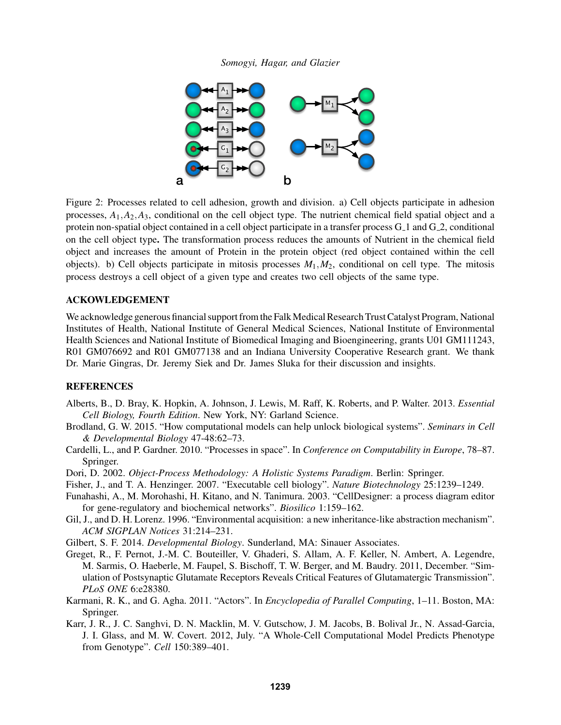

Figure 2: Processes related to cell adhesion, growth and division. a) Cell objects participate in adhesion processes,  $A_1$ , $A_2$ , $A_3$ , conditional on the cell object type. The nutrient chemical field spatial object and a protein non-spatial object contained in a cell object participate in a transfer process G 1 and G 2, conditional on the cell object type. The transformation process reduces the amounts of Nutrient in the chemical field object and increases the amount of Protein in the protein object (red object contained within the cell objects). b) Cell objects participate in mitosis processes  $M_1, M_2$ , conditional on cell type. The mitosis process destroys a cell object of a given type and creates two cell objects of the same type.

#### ACKOWLEDGEMENT

We acknowledge generous financial support from the Falk Medical Research Trust Catalyst Program, National Institutes of Health, National Institute of General Medical Sciences, National Institute of Environmental Health Sciences and National Institute of Biomedical Imaging and Bioengineering, grants U01 GM111243, R01 GM076692 and R01 GM077138 and an Indiana University Cooperative Research grant. We thank Dr. Marie Gingras, Dr. Jeremy Siek and Dr. James Sluka for their discussion and insights.

#### REFERENCES

- Alberts, B., D. Bray, K. Hopkin, A. Johnson, J. Lewis, M. Raff, K. Roberts, and P. Walter. 2013. *Essential Cell Biology, Fourth Edition*. New York, NY: Garland Science.
- Brodland, G. W. 2015. "How computational models can help unlock biological systems". *Seminars in Cell & Developmental Biology* 47-48:62–73.
- Cardelli, L., and P. Gardner. 2010. "Processes in space". In *Conference on Computability in Europe*, 78–87. Springer.
- Dori, D. 2002. *Object-Process Methodology: A Holistic Systems Paradigm*. Berlin: Springer.
- Fisher, J., and T. A. Henzinger. 2007. "Executable cell biology". *Nature Biotechnology* 25:1239–1249.
- Funahashi, A., M. Morohashi, H. Kitano, and N. Tanimura. 2003. "CellDesigner: a process diagram editor for gene-regulatory and biochemical networks". *Biosilico* 1:159–162.
- Gil, J., and D. H. Lorenz. 1996. "Environmental acquisition: a new inheritance-like abstraction mechanism". *ACM SIGPLAN Notices* 31:214–231.
- Gilbert, S. F. 2014. *Developmental Biology*. Sunderland, MA: Sinauer Associates.
- Greget, R., F. Pernot, J.-M. C. Bouteiller, V. Ghaderi, S. Allam, A. F. Keller, N. Ambert, A. Legendre, M. Sarmis, O. Haeberle, M. Faupel, S. Bischoff, T. W. Berger, and M. Baudry. 2011, December. "Simulation of Postsynaptic Glutamate Receptors Reveals Critical Features of Glutamatergic Transmission". *PLoS ONE* 6:e28380.
- Karmani, R. K., and G. Agha. 2011. "Actors". In *Encyclopedia of Parallel Computing*, 1–11. Boston, MA: Springer.
- Karr, J. R., J. C. Sanghvi, D. N. Macklin, M. V. Gutschow, J. M. Jacobs, B. Bolival Jr., N. Assad-Garcia, J. I. Glass, and M. W. Covert. 2012, July. "A Whole-Cell Computational Model Predicts Phenotype from Genotype". *Cell* 150:389–401.